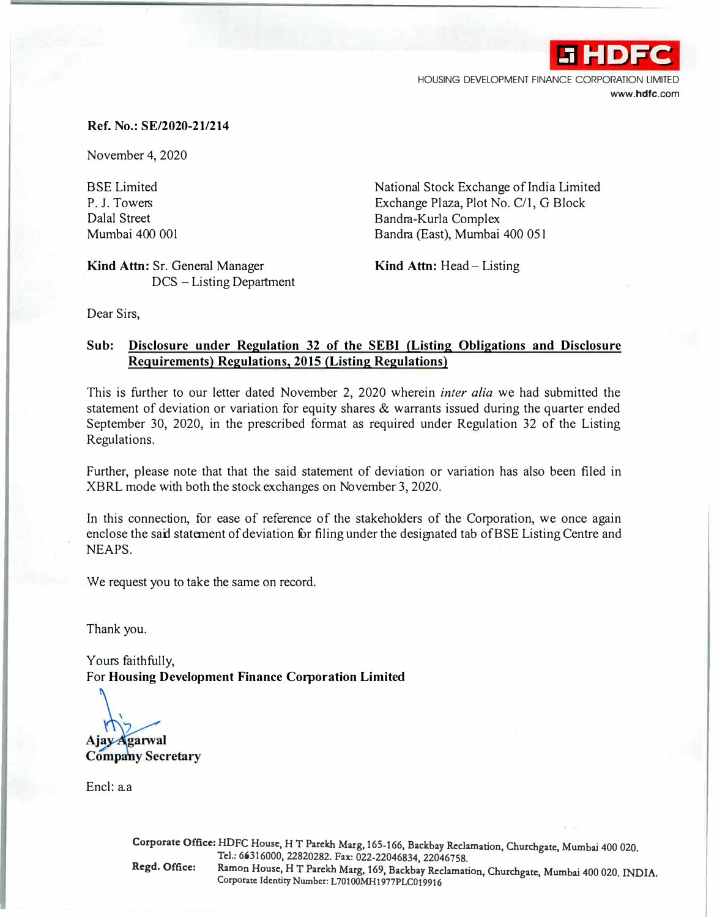**.i HDFC**  HOUSING DEVELOPMENT FINANCE CORPORATION LIMITED **www.hdfc.com** 

## **Ref. No.: SE/2020-21/214**

November 4, 2020

BSE Limited P. J. Towers Dalal Street Mumbai 400 001

**Kind Attn:** Sr. General Manager DCS - Listing Department National Stock Exchange of India Limited Exchange Plaza, Plot No. C/1, G Block Bandra-Kurla Complex Bandra (East), Mumbai 400 051

**Kind Attn:** Head- Listing

Dear Sirs,

## **Sub: Disclosure under Regulation 32 of the SEBI (Listing Obligations and Disclosure Requirements) Regulations, 2015 (Listing Regulations)**

This is further to our letter dated November 2, 2020 wherein *inter alia* we had submitted the statement of deviation or variation for equity shares & warrants issued during the quarter ended September 30, 2020, in the prescribed format as required under Regulation 32 of the Listing Regulations.

Further, please note that that the said statement of deviation or variation has also been filed in XBRL mode with both the stock exchanges on November 3, 2020.

In this connection, for ease of reference of the stakeholders of the Corporation, we once again enclose the sail statement of deviation for filing under the designated tab of BSE Listing Centre and NEAPS.

We request you to take the same on record.

Thank you.

Yours faithfully, For **Housing Development Finance Corporation Limited** 

**Ajay Agarwal** 

**Company Secretary** 

Encl:aa

**Corporate Office: HDFC House, H T Parekh Marg, 165-166, Backbay Reclamation, Churchgate, Mumbai 400 020. Tel.: 66316000, 22820282. Fu: 022-22046834, 22046758. Regd. Office: Ramon House, HT Parekh Marg, 169, Backbay Reclamation, Churchgate, Mumbai 400 020. INDIA. Corporate Identity Number: L70100MH1977PLC019916**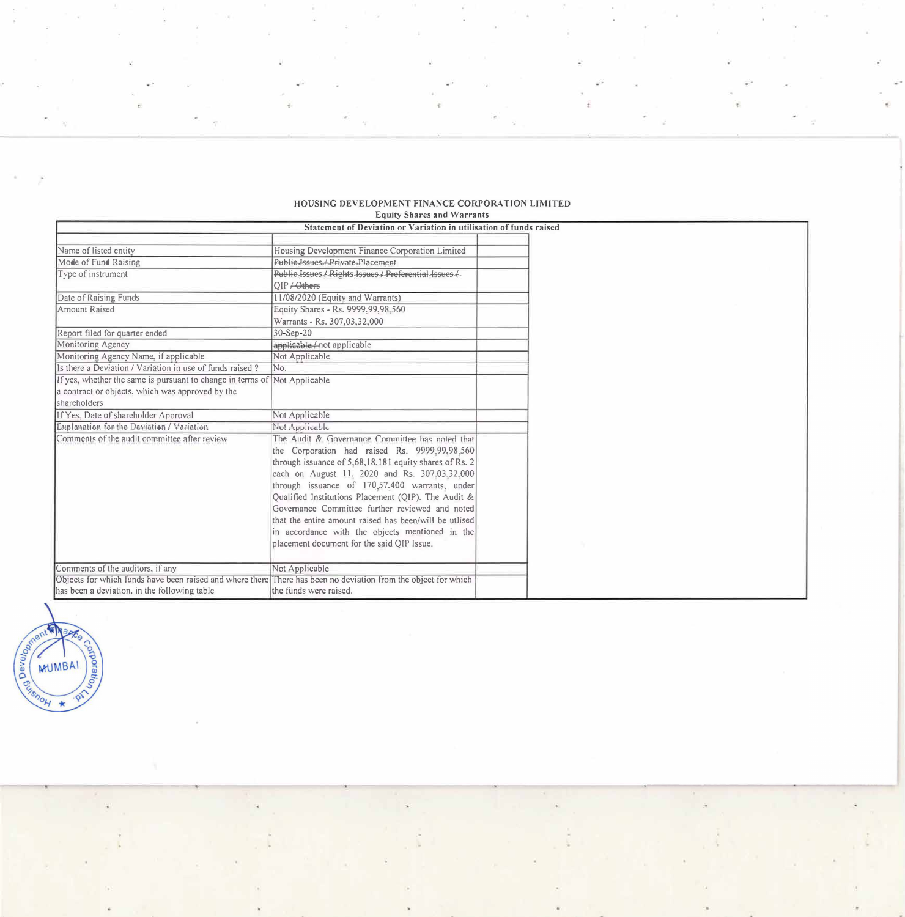|                                                                                                                | Statement of Deviation or Variation in utilisation of funds raised |  |
|----------------------------------------------------------------------------------------------------------------|--------------------------------------------------------------------|--|
| Name of listed entity                                                                                          | Housing Development Finance Corporation Limited                    |  |
| Mode of Fund Raising                                                                                           | Public Issues / Private Placement                                  |  |
| Type of instrument                                                                                             | Public Issues / Rights Issues / Preferential Issues /              |  |
|                                                                                                                | $OIP$ $\leftarrow$ Others                                          |  |
| Date of Raising Funds                                                                                          | 11/08/2020 (Equity and Warrants)                                   |  |
| Amount Raised                                                                                                  | Equity Shares - Rs. 9999.99.98.560                                 |  |
|                                                                                                                | Warrants - Rs. 307,03,32,000                                       |  |
| Report filed for quarter ended                                                                                 | 30-Sep-20                                                          |  |
| Monitoring Agency                                                                                              | applicable /-not applicable                                        |  |
| Monitoring Agency Name, if applicable                                                                          | Not Applicable                                                     |  |
| Is there a Deviation / Variation in use of funds raised?                                                       | No.                                                                |  |
| If yes, whether the same is pursuant to change in terms of Not Applicable                                      |                                                                    |  |
| a contract or objects, which was approved by the                                                               |                                                                    |  |
| shareholders                                                                                                   |                                                                    |  |
| If Yes, Date of shareholder Approval                                                                           | Not Applicable                                                     |  |
| Enplanation for the Deviation / Variation                                                                      | Not Applicable                                                     |  |
| Comments of the audit committee after review                                                                   | The Audit & Governance Committee has noted that                    |  |
|                                                                                                                | the Corporation had raised Rs. 9999,99,98,560                      |  |
|                                                                                                                | through issuance of 5,68,18,181 equity shares of Rs. 2             |  |
|                                                                                                                | each on August 11, 2020 and Rs. 307,03.32,000                      |  |
|                                                                                                                | through issuance of 170,57.400 warrants, under                     |  |
|                                                                                                                | Qualified Institutions Placement (OIP). The Audit &                |  |
|                                                                                                                | Governance Committee further reviewed and noted                    |  |
|                                                                                                                | that the entire amount raised has been/will be utlised             |  |
|                                                                                                                | in accordance with the objects mentioned in the                    |  |
|                                                                                                                | placement document for the said QIP Issue.                         |  |
| Comments of the auditors, if any                                                                               | Not Applicable                                                     |  |
| Objects for which funds have been raised and where there There has been no deviation from the object for which |                                                                    |  |
| has been a deviation, in the following table                                                                   | the funds were raised.                                             |  |

## **HOUSING DEVELOPMENT FINANCE CORPORATION LIMITED Equity Shares and Warrants**